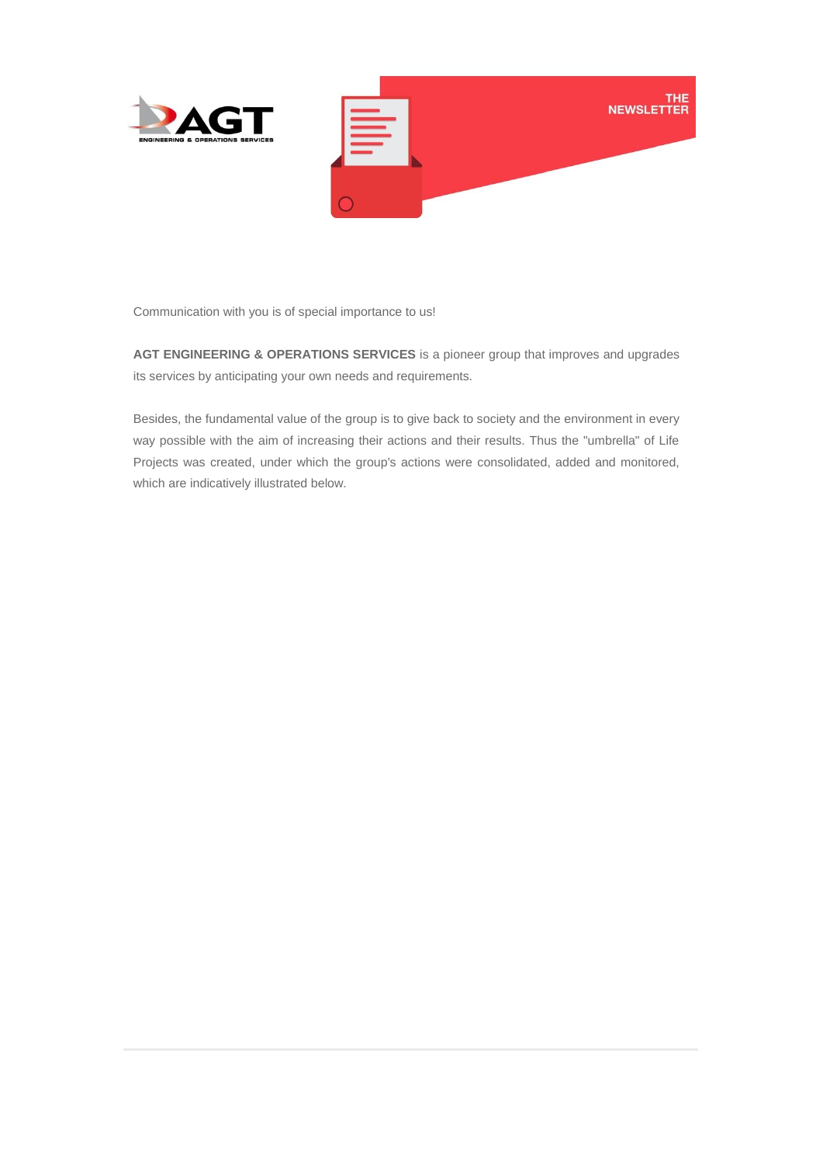

Communication with you is of special importance to us!

**AGT ENGINEERING & OPERATIONS SERVICES** is a pioneer group that improves and upgrades its services by anticipating your own needs and requirements.

Besides, the fundamental value of the group is to give back to society and the environment in every way possible with the aim of increasing their actions and their results. Thus the "umbrella" of Life Projects was created, under which the group's actions were consolidated, added and monitored, which are indicatively illustrated below.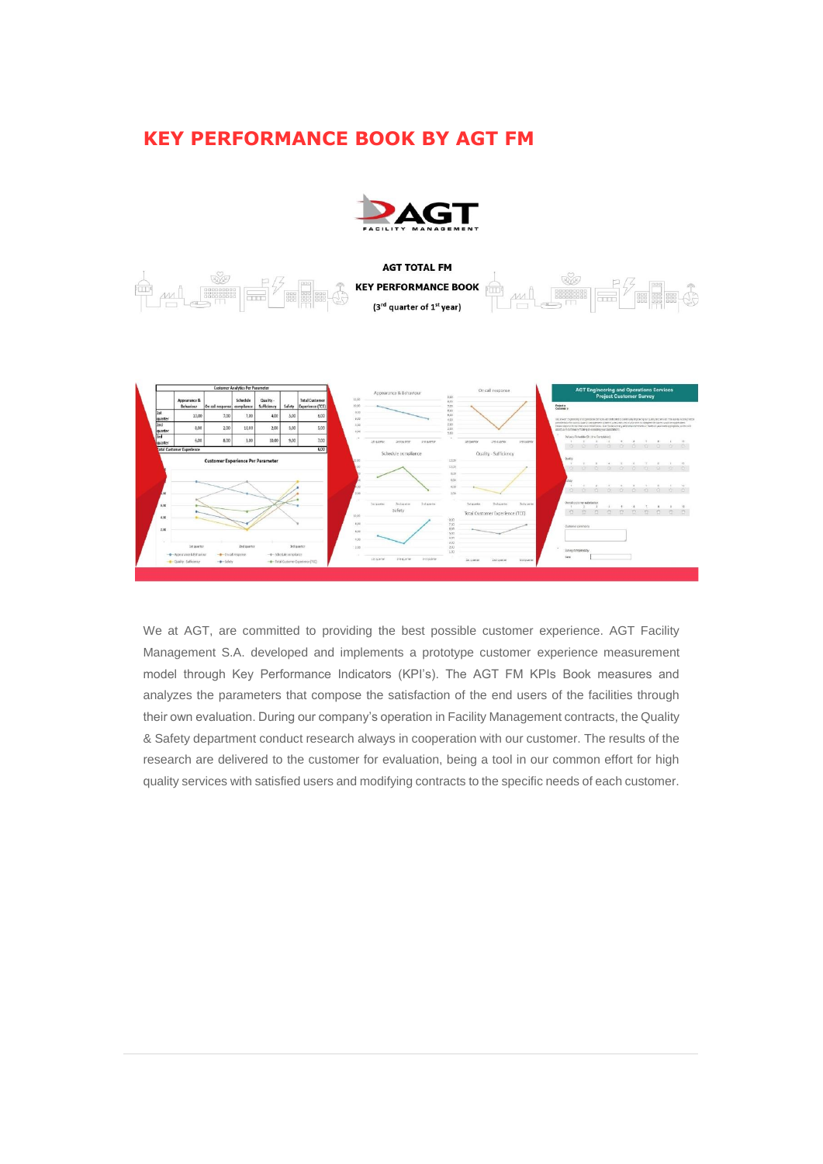## **KEY PERFORMANCE BOOK BY AGT FM**







We at AGT, are committed to providing the best possible customer experience. AGT Facility Management S.A. developed and implements a prototype customer experience measurement model through Key Performance Indicators (KPI's). The AGT FM KPIs Book measures and analyzes the parameters that compose the satisfaction of the end users of the facilities through their own evaluation. During our company's operation in Facility Management contracts, the Quality & Safety department conduct research always in cooperation with our customer. The results of the research are delivered to the customer for evaluation, being a tool in our common effort for high quality services with satisfied users and modifying contracts to the specific needs of each customer.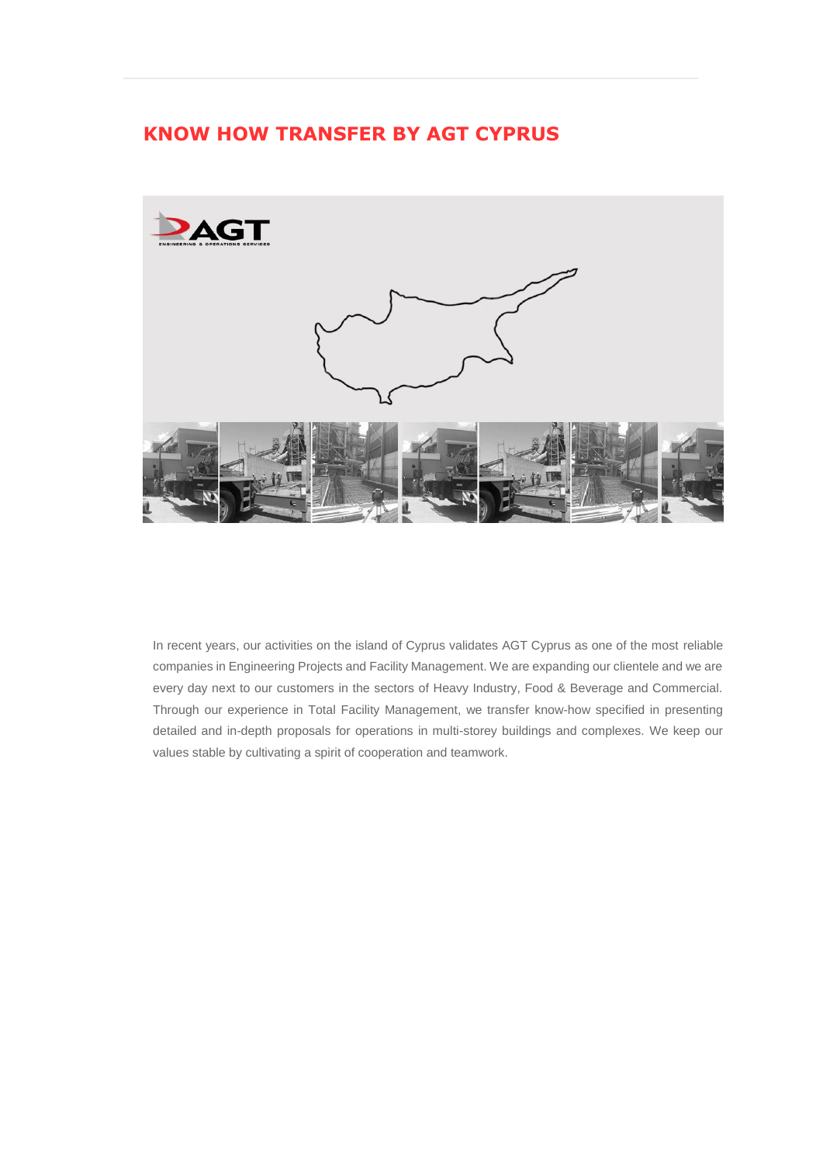## **KNOW HOW TRANSFER BY AGT CYPRUS**



In recent years, our activities on the island of Cyprus validates AGT Cyprus as one of the most reliable companies in Engineering Projects and Facility Management. We are expanding our clientele and we are every day next to our customers in the sectors of Heavy Industry, Food & Beverage and Commercial. Through our experience in Total Facility Management, we transfer know-how specified in presenting detailed and in-depth proposals for operations in multi-storey buildings and complexes. We keep our values stable by cultivating a spirit of cooperation and teamwork.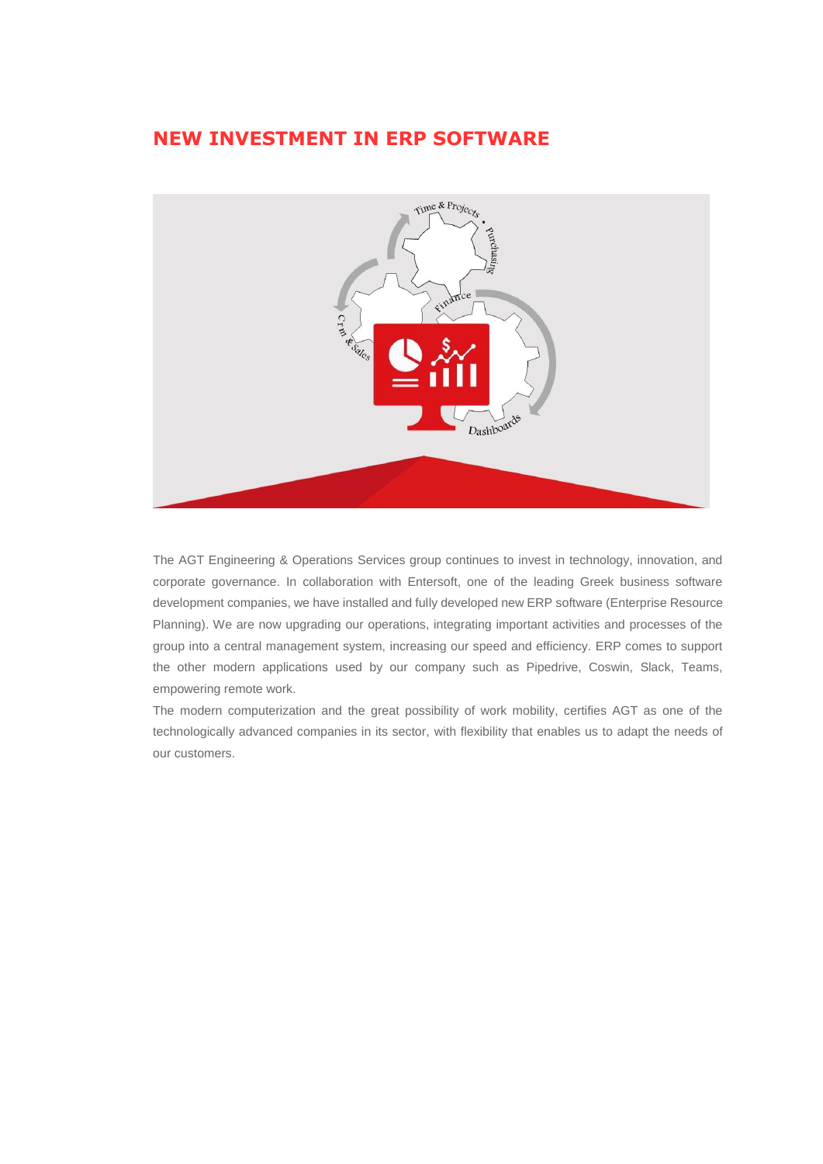## **NEW INVESTMENT IN ERP SOFTWARE**



The AGT Engineering & Operations Services group continues to invest in technology, innovation, and corporate governance. In collaboration with Entersoft, one of the leading Greek business software development companies, we have installed and fully developed new ERP software (Enterprise Resource Planning). We are now upgrading our operations, integrating important activities and processes of the group into a central management system, increasing our speed and efficiency. ERP comes to support the other modern applications used by our company such as Pipedrive, Coswin, Slack, Teams, empowering remote work.

The modern computerization and the great possibility of work mobility, certifies AGT as one of the technologically advanced companies in its sector, with flexibility that enables us to adapt the needs of our customers.